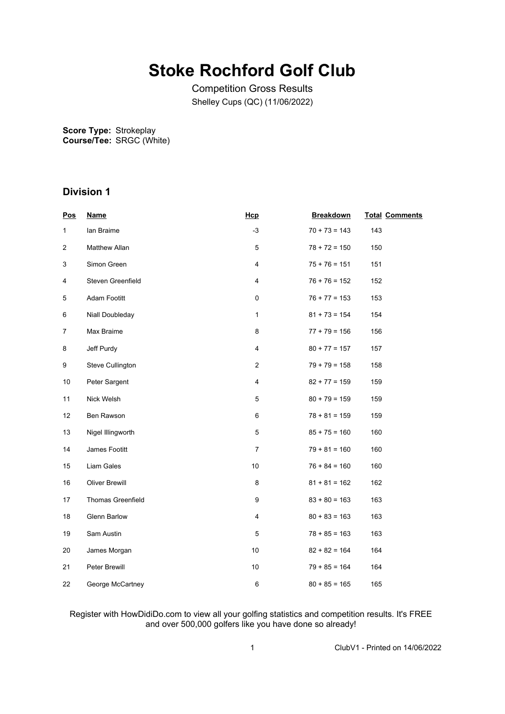# **Stoke Rochford Golf Club**

Competition Gross Results Shelley Cups (QC) (11/06/2022)

**Score Type: Course/Tee:** Strokeplay SRGC (White)

### **Division 1**

| <b>Pos</b>     | <b>Name</b>              | Hcp                     | <b>Breakdown</b> | <b>Total Comments</b> |
|----------------|--------------------------|-------------------------|------------------|-----------------------|
| $\mathbf{1}$   | lan Braime               | $-3$                    | $70 + 73 = 143$  | 143                   |
| 2              | <b>Matthew Allan</b>     | 5                       | $78 + 72 = 150$  | 150                   |
| 3              | Simon Green              | $\overline{\mathbf{4}}$ | $75 + 76 = 151$  | 151                   |
| 4              | Steven Greenfield        | $\overline{4}$          | $76 + 76 = 152$  | 152                   |
| 5              | Adam Footitt             | 0                       | $76 + 77 = 153$  | 153                   |
| 6              | Niall Doubleday          | $\mathbf{1}$            | $81 + 73 = 154$  | 154                   |
| $\overline{7}$ | Max Braime               | 8                       | $77 + 79 = 156$  | 156                   |
| 8              | Jeff Purdy               | $\overline{4}$          | $80 + 77 = 157$  | 157                   |
| 9              | Steve Cullington         | 2                       | $79 + 79 = 158$  | 158                   |
| 10             | Peter Sargent            | $\pmb{4}$               | $82 + 77 = 159$  | 159                   |
| 11             | Nick Welsh               | 5                       | $80 + 79 = 159$  | 159                   |
| 12             | Ben Rawson               | 6                       | $78 + 81 = 159$  | 159                   |
| 13             | Nigel Illingworth        | $\mathbf 5$             | $85 + 75 = 160$  | 160                   |
| 14             | James Footitt            | $\overline{7}$          | $79 + 81 = 160$  | 160                   |
| 15             | Liam Gales               | 10                      | $76 + 84 = 160$  | 160                   |
| 16             | <b>Oliver Brewill</b>    | 8                       | $81 + 81 = 162$  | 162                   |
| 17             | <b>Thomas Greenfield</b> | 9                       | $83 + 80 = 163$  | 163                   |
| 18             | <b>Glenn Barlow</b>      | 4                       | $80 + 83 = 163$  | 163                   |
| 19             | Sam Austin               | 5                       | $78 + 85 = 163$  | 163                   |
| 20             | James Morgan             | 10                      | $82 + 82 = 164$  | 164                   |
| 21             | Peter Brewill            | 10                      | $79 + 85 = 164$  | 164                   |
| 22             | George McCartney         | 6                       | $80 + 85 = 165$  | 165                   |

#### Register with HowDidiDo.com to view all your golfing statistics and competition results. It's FREE and over 500,000 golfers like you have done so already!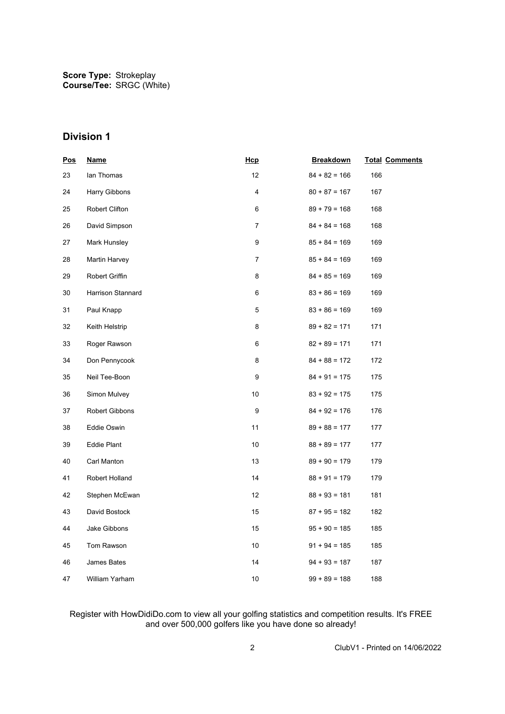## **Division 1**

| <b>Pos</b> | <b>Name</b>        | Hcp  | <b>Breakdown</b> | <b>Total Comments</b> |
|------------|--------------------|------|------------------|-----------------------|
| 23         | lan Thomas         | 12   | $84 + 82 = 166$  | 166                   |
| 24         | Harry Gibbons      | 4    | $80 + 87 = 167$  | 167                   |
| 25         | Robert Clifton     | 6    | $89 + 79 = 168$  | 168                   |
| 26         | David Simpson      | 7    | $84 + 84 = 168$  | 168                   |
| 27         | Mark Hunsley       | 9    | $85 + 84 = 169$  | 169                   |
| 28         | Martin Harvey      | 7    | $85 + 84 = 169$  | 169                   |
| 29         | Robert Griffin     | 8    | $84 + 85 = 169$  | 169                   |
| 30         | Harrison Stannard  | 6    | $83 + 86 = 169$  | 169                   |
| 31         | Paul Knapp         | 5    | $83 + 86 = 169$  | 169                   |
| 32         | Keith Helstrip     | 8    | $89 + 82 = 171$  | 171                   |
| 33         | Roger Rawson       | 6    | $82 + 89 = 171$  | 171                   |
| 34         | Don Pennycook      | 8    | $84 + 88 = 172$  | 172                   |
| 35         | Neil Tee-Boon      | 9    | $84 + 91 = 175$  | 175                   |
| 36         | Simon Mulvey       | 10   | $83 + 92 = 175$  | 175                   |
| 37         | Robert Gibbons     | 9    | $84 + 92 = 176$  | 176                   |
| 38         | Eddie Oswin        | 11   | $89 + 88 = 177$  | 177                   |
| 39         | <b>Eddie Plant</b> | $10$ | $88 + 89 = 177$  | 177                   |
| 40         | Carl Manton        | 13   | $89 + 90 = 179$  | 179                   |
| 41         | Robert Holland     | 14   | $88 + 91 = 179$  | 179                   |
| 42         | Stephen McEwan     | 12   | $88 + 93 = 181$  | 181                   |
| 43         | David Bostock      | 15   | $87 + 95 = 182$  | 182                   |
| 44         | Jake Gibbons       | 15   | $95 + 90 = 185$  | 185                   |
| 45         | Tom Rawson         | 10   | $91 + 94 = 185$  | 185                   |
| 46         | James Bates        | 14   | $94 + 93 = 187$  | 187                   |
| 47         | William Yarham     | 10   | $99 + 89 = 188$  | 188                   |

#### Register with HowDidiDo.com to view all your golfing statistics and competition results. It's FREE and over 500,000 golfers like you have done so already!